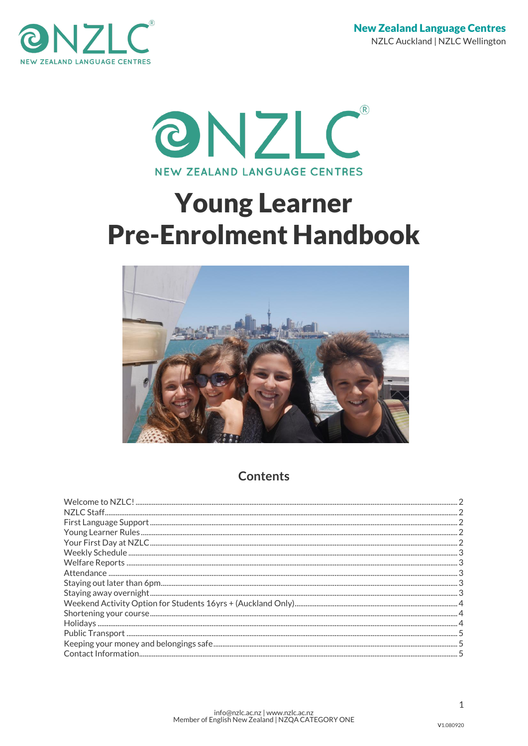



# **Young Learner Pre-Enrolment Handbook**



# **Contents**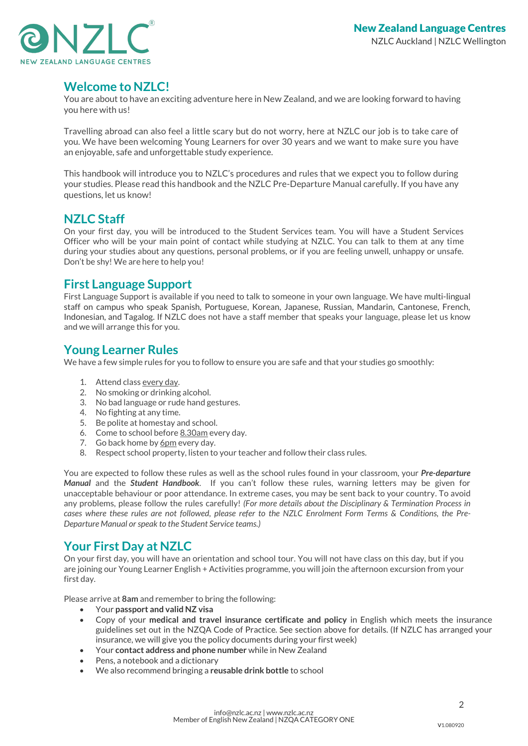

## <span id="page-1-0"></span>**Welcome to NZLC!**

You are about to have an exciting adventure here in New Zealand, and we are looking forward to having you here with us!

Travelling abroad can also feel a little scary but do not worry, here at NZLC our job is to take care of you. We have been welcoming Young Learners for over 30 years and we want to make sure you have an enjoyable, safe and unforgettable study experience.

This handbook will introduce you to NZLC's procedures and rules that we expect you to follow during your studies. Please read this handbook and the NZLC Pre-Departure Manual carefully. If you have any questions, let us know!

## <span id="page-1-1"></span>**NZLC Staff**

On your first day, you will be introduced to the Student Services team. You will have a Student Services Officer who will be your main point of contact while studying at NZLC. You can talk to them at any time during your studies about any questions, personal problems, or if you are feeling unwell, unhappy or unsafe. Don't be shy! We are here to help you!

## <span id="page-1-2"></span>**First Language Support**

First Language Support is available if you need to talk to someone in your own language. We have multi-lingual staff on campus who speak Spanish, Portuguese, Korean, Japanese, Russian, Mandarin, Cantonese, French, Indonesian, and Tagalog. If NZLC does not have a staff member that speaks your language, please let us know and we will arrange this for you.

## <span id="page-1-3"></span>**Young Learner Rules**

We have a few simple rules for you to follow to ensure you are safe and that your studies go smoothly:

- 1. Attend class every day.
- 2. No smoking or drinking alcohol.
- 3. No bad language or rude hand gestures.
- 4. No fighting at any time.
- 5. Be polite at homestay and school.
- 6. Come to school before 8.30am every day.
- 7. Go back home by 6pm every day.
- 8. Respect school property, listen to your teacher and follow their class rules.

You are expected to follow these rules as well as the school rules found in your classroom, your *Pre-departure Manual* and the *Student Handbook*. If you can't follow these rules, warning letters may be given for unacceptable behaviour or poor attendance. In extreme cases, you may be sent back to your country. To avoid any problems, please follow the rules carefully! *(For more details about the Disciplinary & Termination Process in cases where these rules are not followed, please refer to the NZLC Enrolment Form Terms & Conditions, the Pre-Departure Manual or speak to the Student Service teams.)* 

## <span id="page-1-4"></span>**Your First Day at NZLC**

On your first day, you will have an orientation and school tour. You will not have class on this day, but if you are joining our Young Learner English + Activities programme, you will join the afternoon excursion from your first day.

Please arrive at **8am** and remember to bring the following:

- Your **passport and valid NZ visa**
- Copy of your **medical and travel insurance certificate and policy** in English which meets the insurance guidelines set out in the NZQA Code of Practice*.* See section above for details. (If NZLC has arranged your insurance, we will give you the policy documents during your first week)
- Your **contact address and phone number** while in New Zealand
- Pens, a notebook and a dictionary
- We also recommend bringing a **reusable drink bottle** to school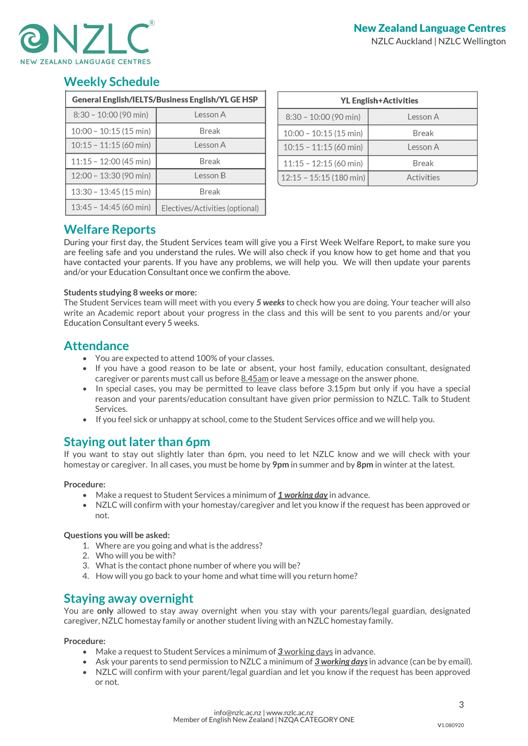

# <span id="page-2-0"></span>**Weekly Schedule**

| General English/IELTS/Business English/YL GE HSP |                                 |  |
|--------------------------------------------------|---------------------------------|--|
| $8:30 - 10:00$ (90 min)                          | Lesson A                        |  |
| $10:00 - 10:15(15 min)$                          | Break                           |  |
| $10:15 - 11:15$ (60 min)                         | Lesson A                        |  |
| $11:15 - 12:00(45 min)$                          | <b>Break</b>                    |  |
| 12:00 - 13:30 (90 min)                           | Lesson B                        |  |
| 13:30 - 13:45 (15 min)                           | <b>Break</b>                    |  |
| 13:45 - 14:45 (60 min)                           | Electives/Activities (optional) |  |

| <b>YL English+Activities</b>     |              |  |
|----------------------------------|--------------|--|
| $8:30 - 10:00$ (90 min)          | Lesson A     |  |
| $10:00 - 10:15(15 min)$          | <b>Break</b> |  |
| $10:15 - 11:15(60 \text{ min})$  | Lesson A     |  |
| $11:15 - 12:15(60 \text{ min})$  | <b>Break</b> |  |
| $12:15 - 15:15(180 \text{ min})$ | Activities   |  |

## <span id="page-2-1"></span>**Welfare Reports**

During your first day, the Student Services team will give you a First Week Welfare Report*,* to make sure you are feeling safe and you understand the rules. We will also check if you know how to get home and that you have contacted your parents. If you have any problems, we will help you. We will then update your parents and/or your Education Consultant once we confirm the above.

## **Students studying 8 weeks or more:**

The Student Services team will meet with you every *5 weeks* to check how you are doing. Your teacher will also write an Academic report about your progress in the class and this will be sent to you parents and/or your Education Consultant every 5 weeks.

## <span id="page-2-2"></span>**Attendance**

- You are expected to attend 100% of your classes.
- If you have a good reason to be late or absent, your host family, education consultant, designated caregiver or parents must call us before  $8.45$ am or leave a message on the answer phone.
- In special cases, you may be permitted to leave class before 3.15pm but only if you have a special reason and your parents/education consultant have given prior permission to NZLC. Talk to Student **Services**
- If you feel sick or unhappy at school, come to the Student Services office and we will help you.

# <span id="page-2-3"></span>**Staying out later than 6pm**

If you want to stay out slightly later than 6pm, you need to let NZLC know and we will check with your homestay or caregiver. In all cases, you must be home by **9pm** in summer and by **8pm** in winter at the latest.

## **Procedure:**

- Make a request to Student Services a minimum of *1 working day* in advance.
- NZLC will confirm with your homestay/caregiver and let you know if the request has been approved or not.

## **Questions you will be asked:**

- 1. Where are you going and what is the address?
- 2. Who will you be with?
- 3. What is the contact phone number of where you will be?
- 4. How will you go back to your home and what time will you return home?

## <span id="page-2-4"></span>**Staying away overnight**

You are **only** allowed to stay away overnight when you stay with your parents/legal guardian, designated caregiver, NZLC homestay family or another student living with an NZLC homestay family.

## **Procedure:**

- Make a request to Student Services a minimum of *3* working days in advance.
- Ask your parents to send permission to NZLC a minimum of *3 working days*in advance (can be by email).
- NZLC will confirm with your parent/legal guardian and let you know if the request has been approved or not.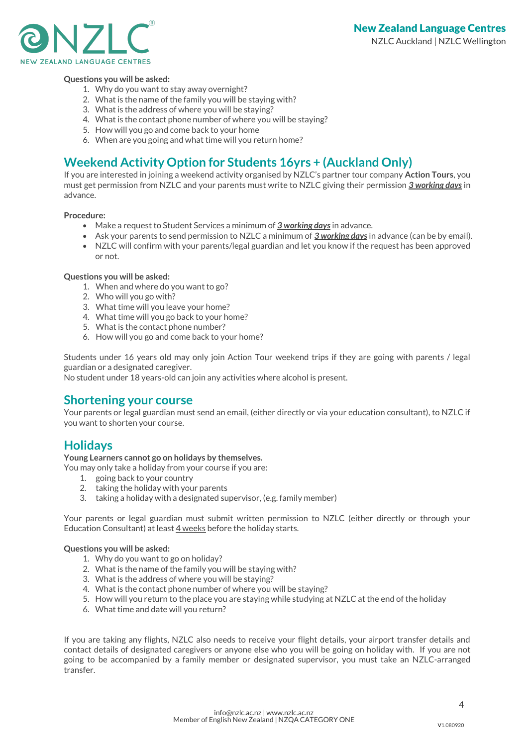

#### **Questions you will be asked:**

- 1. Why do you want to stay away overnight?
- 2. What is the name of the family you will be staying with?
- 3. What is the address of where you will be staying?
- 4. What is the contact phone number of where you will be staying?
- 5. How will you go and come back to your home
- 6. When are you going and what time will you return home?

# <span id="page-3-0"></span>**Weekend Activity Option for Students 16yrs + (Auckland Only)**

If you are interested in joining a weekend activity organised by NZLC's partner tour company **Action Tours**, you must get permission from NZLC and your parents must write to NZLC giving their permission *3 working days* in advance.

#### **Procedure:**

- Make a request to Student Services a minimum of *3 working days*in advance.
- Ask your parents to send permission to NZLC a minimum of *3 working days* in advance (can be by email).
- NZLC will confirm with your parents/legal guardian and let you know if the request has been approved or not.

#### **Questions you will be asked:**

- 1. When and where do you want to go?
- 2. Who will you go with?
- 3. What time will you leave your home?
- 4. What time will you go back to your home?
- 5. What is the contact phone number?
- 6. How will you go and come back to your home?

Students under 16 years old may only join Action Tour weekend trips if they are going with parents / legal guardian or a designated caregiver.

No student under 18 years-old can join any activities where alcohol is present.

## <span id="page-3-1"></span>**Shortening your course**

Your parents or legal guardian must send an email, (either directly or via your education consultant), to NZLC if you want to shorten your course.

## <span id="page-3-2"></span>**Holidays**

**Young Learners cannot go on holidays by themselves.**

You may only take a holiday from your course if you are:

- 1. going back to your country
- 2. taking the holiday with your parents
- 3. taking a holiday with a designated supervisor, (e.g. family member)

Your parents or legal guardian must submit written permission to NZLC (either directly or through your Education Consultant) at least 4 weeks before the holiday starts.

#### **Questions you will be asked:**

- 1. Why do you want to go on holiday?
- 2. What is the name of the family you will be staying with?
- 3. What is the address of where you will be staying?
- 4. What is the contact phone number of where you will be staying?
- 5. How will you return to the place you are staying while studying at NZLC at the end of the holiday
- 6. What time and date will you return?

If you are taking any flights, NZLC also needs to receive your flight details, your airport transfer details and contact details of designated caregivers or anyone else who you will be going on holiday with. If you are not going to be accompanied by a family member or designated supervisor, you must take an NZLC-arranged transfer.